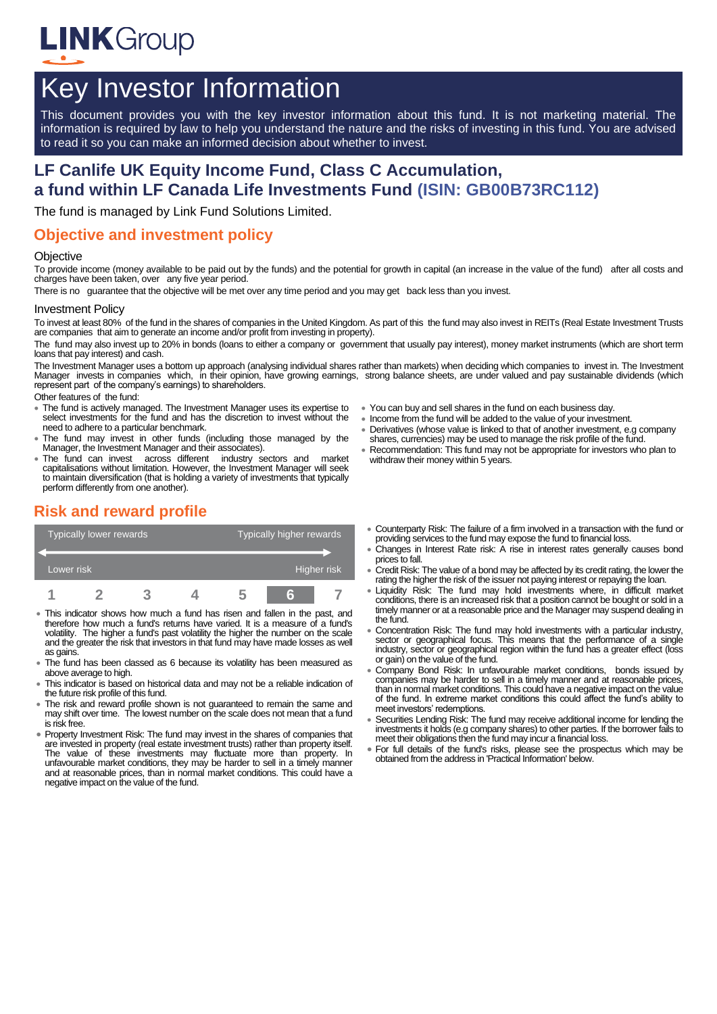

# Key Investor Information

This document provides you with the key investor information about this fund. It is not marketing material. The information is required by law to help you understand the nature and the risks of investing in this fund. You are advised to read it so you can make an informed decision about whether to invest.

# **LF Canlife UK Equity Income Fund, Class C Accumulation, a fund within LF Canada Life Investments Fund (ISIN: GB00B73RC112)**

The fund is managed by Link Fund Solutions Limited.

### **Objective and investment policy**

#### **Objective**

To provide income (money available to be paid out by the funds) and the potential for growth in capital (an increase in the value of the fund) after all costs and charges have been taken, over any five year period.

There is no guarantee that the objective will be met over any time period and you may get back less than you invest.

#### Investment Policy

To invest at least 80% of the fund in the shares of companies in the United Kingdom. As part of this the fund may also invest in REITs (Real Estate Investment Trusts are companies that aim to generate an income and/or profit from investing in property).

The fund may also invest up to 20% in bonds (loans to either a company or government that usually pay interest), money market instruments (which are short term loans that pay interest) and cash.

The Investment Manager uses a bottom up approach (analysing individual shares rather than markets) when deciding which companies to invest in. The Investment<br>Manager invests in companies which, in their opinion, have growi represent part of the company's earnings) to shareholders.

#### Other features of the fund:

- The fund is actively managed. The Investment Manager uses its expertise to select investments for the fund and has the discretion to invest without the need to adhere to a particular benchmark.
- The fund may invest in other funds (including those managed by the Manager, the Investment Manager and their associates).
- The fund can invest across different industry sectors and market capitalisations without limitation. However, the Investment Manager will seek to maintain diversification (that is holding a variety of investments that typically perform differently from one another).

## **Risk and reward profile**



- This indicator shows how much a fund has risen and fallen in the past, and therefore how much a fund's returns have varied. It is a measure of a fund's volatility. The higher a fund's past volatility the higher the number on the scale and the greater the risk that investors in that fund may have made losses as well as gains.
- The fund has been classed as 6 because its volatility has been measured as above average to high.
- This indicator is based on historical data and may not be a reliable indication of the future risk profile of this fund.
- The risk and reward profile shown is not guaranteed to remain the same and may shift over time. The lowest number on the scale does not mean that a fund is risk free.
- Property Investment Risk: The fund may invest in the shares of companies that are invested in property (real estate investment trusts) rather than property itself. The value of these investments may fluctuate more than property. In unfavourable market conditions, they may be harder to sell in a timely manner and at reasonable prices, than in normal market conditions. This could have a negative impact on the value of the fund.
- You can buy and sell shares in the fund on each business day.
- Income from the fund will be added to the value of your investment.
- Derivatives (whose value is linked to that of another investment, e.g company shares, currencies) may be used to manage the risk profile of the fund.
- Recommendation: This fund may not be appropriate for investors who plan to withdraw their money within 5 years.
- Counterparty Risk: The failure of a firm involved in a transaction with the fund or providing services to the fund may expose the fund to financial loss.
- Changes in Interest Rate risk: A rise in interest rates generally causes bond prices to fall.
- Credit Risk: The value of a bond may be affected by its credit rating, the lower the rating the higher the risk of the issuer not paying interest or repaying the loan.
- Liquidity Risk: The fund may hold investments where, in difficult market conditions, there is an increased risk that a position cannot be bought or sold in a timely manner or at a reasonable price and the Manager may suspend dealing in the fund.
- Concentration Risk: The fund may hold investments with a particular industry, sector or geographical focus. This means that the performance of a single industry, sector or geographical region within the fund has a greater effect (loss or gain) on the value of the fund.
- Company Bond Risk: In unfavourable market conditions, bonds issued by companies may be harder to sell in a timely manner and at reasonable prices, than in normal market conditions. This could have a negative impact on the value of the fund. In extreme market conditions this could affect the fund's ability to meet investors' redemptions.
- Securities Lending Risk: The fund may receive additional income for lending the investments it holds (e.g company shares) to other parties. If the borrower fails to meet their obligations then the fund may incur a financial loss.
- For full details of the fund's risks, please see the prospectus which may be obtained from the address in 'Practical Information' below.